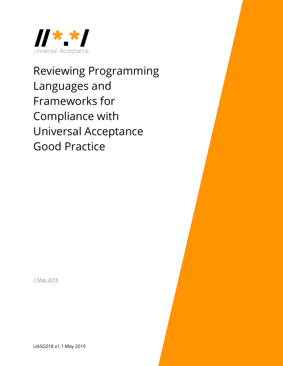

Reviewing Programming Languages and Frameworks for Compliance with Universal Acceptance Good Practice

1 May 2019

UASG018 v1.1 May 2019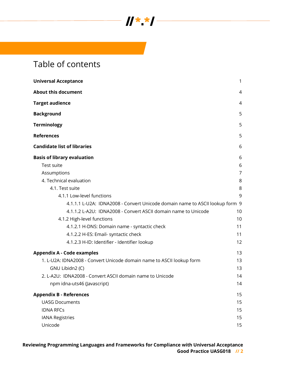

# Table of contents

| <b>Universal Acceptance</b>                                                  | 1              |
|------------------------------------------------------------------------------|----------------|
| <b>About this document</b>                                                   | 4              |
| <b>Target audience</b>                                                       | 4              |
| <b>Background</b>                                                            | 5              |
| <b>Terminology</b>                                                           | 5              |
| <b>References</b>                                                            | 5              |
| <b>Candidate list of libraries</b>                                           | 6              |
| <b>Basis of library evaluation</b>                                           | 6              |
| Test suite                                                                   | 6              |
| Assumptions                                                                  | $\overline{7}$ |
| 4. Technical evaluation                                                      | 8              |
| 4.1. Test suite                                                              | 8              |
| 4.1.1 Low-level functions                                                    | 9              |
| 4.1.1.1 L-U2A: IDNA2008 - Convert Unicode domain name to ASCII lookup form 9 |                |
| 4.1.1.2 L-A2U: IDNA2008 - Convert ASCII domain name to Unicode               | 10             |
| 4.1.2 High-level functions                                                   | 10             |
| 4.1.2.1 H-DNS: Domain name - syntactic check                                 | 11             |
| 4.1.2.2 H-ES: Email- syntactic check                                         | 11             |
| 4.1.2.3 H-ID: Identifier - Identifier lookup                                 | 12             |
| <b>Appendix A - Code examples</b>                                            | 13             |
| 1. L-U2A: IDNA2008 - Convert Unicode domain name to ASCII lookup form        | 13             |
| GNU Libidn2 (C)                                                              | 13             |
| 2. L-A2U: IDNA2008 - Convert ASCII domain name to Unicode                    | 14             |
| npm idna-uts46 (Javascript)                                                  | 14             |
| <b>Appendix B - References</b>                                               | 15             |
| <b>UASG Documents</b>                                                        | 15             |
| <b>IDNA RFCs</b>                                                             | 15             |
| <b>IANA Registries</b>                                                       | 15             |
| Unicode                                                                      | 15             |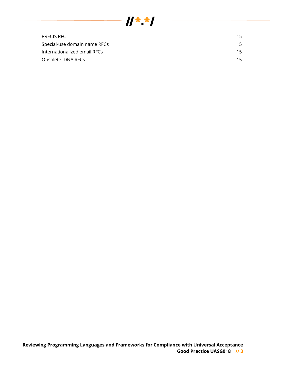

| <b>PRECIS RFC</b>            | 15  |
|------------------------------|-----|
| Special-use domain name RFCs | 15  |
| Internationalized email RFCs | 15. |
| Obsolete IDNA RFCs           |     |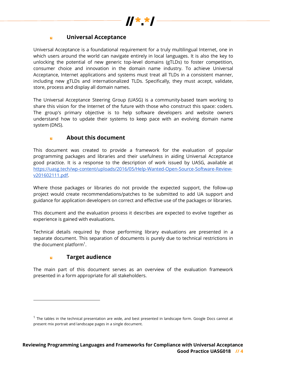

#### **Universal Acceptance** k.

Universal Acceptance is a foundational requirement for a truly multilingual Internet, one in which users around the world can navigate entirely in local languages. It is also the key to unlocking the potential of new generic top-level domains (gTLDs) to foster competition, consumer choice and innovation in the domain name industry. To achieve Universal Acceptance, Internet applications and systems must treat all TLDs in a consistent manner, including new gTLDs and internationalized TLDs. Specifically, they must accept, validate, store, process and display all domain names.

The Universal Acceptance Steering Group (UASG) is a community-based team working to share this vision for the Internet of the future with those who construct this space: coders. The group's primary objective is to help software developers and website owners understand how to update their systems to keep pace with an evolving domain name system (DNS).

#### **About this document**  $\mathbf{r}$

This document was created to provide a framework for the evaluation of popular programming packages and libraries and their usefulness in aiding Universal Acceptance good practice. It is a response to the description of work issued by UASG, available at https://uasg.tech/wp-content/uploads/2016/05/Help-Wanted-Open-Source-Software-Reviewv201602111.pdf.

Where those packages or libraries do not provide the expected support, the follow-up project would create recommendations/patches to be submitted to add UA support and guidance for application developers on correct and effective use of the packages or libraries.

This document and the evaluation process it describes are expected to evolve together as experience is gained with evaluations.

Technical details required by those performing library evaluations are presented in a separate document. This separation of documents is purely due to technical restrictions in the document platform<sup>1</sup>.

#### **Target audience** ×.

1

The main part of this document serves as an overview of the evaluation framework presented in a form appropriate for all stakeholders.

 $1$  The tables in the technical presentation are wide, and best presented in landscape form. Google Docs cannot at present mix portrait and landscape pages in a single document.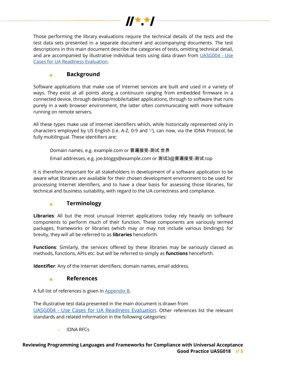

Those performing the library evaluations require the technical details of the tests and the test data sets presented in a separate document and accompanying documents. The test descriptions in this main document describe the categories of tests, omitting technical detail, and are accompanied by illustrative individual tests using data drawn from UASG004 - Use Cases for UA Readiness Evaluation.

#### **Background** k.

Software applications that make use of Internet services are built and used in a variety of ways. They exist at all points along a continuum ranging from embedded firmware in a connected device, through desktop/mobile/tablet applications, through to software that runs purely in a web browser environment, the latter often communicating with more software running on remote servers.

All these types make use of Internet identifiers which, while historically represented only in characters employed by US English (i.e. A-Z, 0-9 and '-'), can now, via the IDNA Protocol, be fully multilingual. These identifiers are:

Domain names, e.g. example.com or 普遍接受-测试.世界

Email addresses, e.g. joe.bloggs@example.com or 测试3@普遍接受-测试.top

It is therefore important for all stakeholders in development of a software application to be aware what libraries are available for their chosen development environment to be used for processing Internet identifiers, and to have a clear basis for assessing those libraries, for technical and business suitability, with regard to the UA correctness and compliance.

#### **Terminology**  $\overline{\phantom{a}}$

**Libraries**: All but the most unusual Internet applications today rely heavily on software components to perform much of their function. These components are variously termed packages, frameworks or libraries (which may or may not include various bindings); for brevity, they will all be referred to as **libraries** henceforth.

**Functions**: Similarly, the services offered by these libraries may be variously classed as methods, functions, APIs etc. but will be referred to simply as **functions** henceforth.

**Identifier**: Any of the Internet identifiers: domain names, email address.

#### **References** k.

A full list of references is given in Appendix B.

The illustrative test data presented in the main document is drawn from UASG004 - Use Cases for UA Readiness Evaluation. Other references list the relevant standards and related information in the following categories:

IDNA RFCs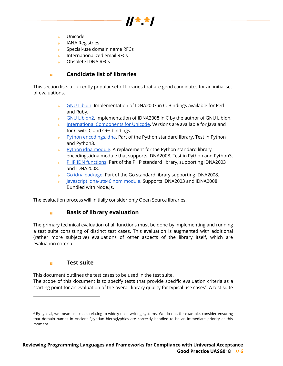- Unicode
- IANA Registries
- Special-use domain name RFCs
- **College** Internationalized email RFCs
- Obsolete IDNA RFCs

#### **Candidate list of libraries** k.

This section lists a currently popular set of libraries that are good candidates for an initial set of evaluations.

> GNU Libidn. Implementation of IDNA2003 in C. Bindings available for Perl and Ruby.

 $\boldsymbol{y}$   $\boldsymbol{x}$ 

- GNU Libidn2. Implementation of IDNA2008 in C by the author of GNU Libidn.
- International Components for Unicode. Versions are available for Java and for C with C and C++ bindings.
- Python encodings.idna. Part of the Python standard library. Test in Python  $\mathbf{R}^{(1)}$ and Python3.
- Python idna module. A replacement for the Python standard library encodings.idna module that supports IDNA2008. Test in Python and Python3.
- **State** PHP IDN functions. Part of the PHP standard library, supporting IDNA2003 and IDNA2008.
- Go idna package. Part of the Go standard library supporting IDNA2008. **College**
- Javascript idna-uts46 npm module. Supports IDNA2003 and IDNA2008. Bundled with Node.js.

The evaluation process will initially consider only Open Source libraries.

#### k. **Basis of library evaluation**

The primary technical evaluation of all functions must be done by implementing and running a test suite consisting of distinct test cases. This evaluation is augmented with additional (rather more subjective) evaluations of other aspects of the library itself, which are evaluation criteria

#### **Test suite**  $\mathbf{r}$

-

This document outlines the test cases to be used in the test suite. The scope of this document is to specify tests that provide specific evaluation criteria as a starting point for an evaluation of the overall library quality for typical use cases<sup>2</sup>. A test suite

 $^2$  By typical, we mean use cases relating to widely used writing systems. We do not, for example, consider ensuring that domain names in Ancient Egyptian hieroglyphics are correctly handled to be an immediate priority at this moment.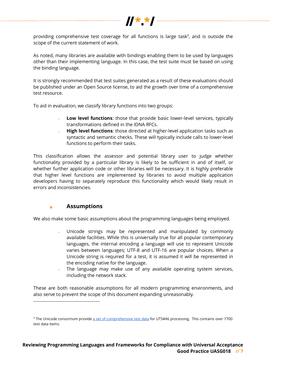

providing comprehensive test coverage for all functions is large task $3$ , and is outside the scope of the current statement of work.

As noted, many libraries are available with bindings enabling them to be used by languages other than their implementing language. In this case, the test suite must be based on using the binding language.

It is strongly recommended that test suites generated as a result of these evaluations should be published under an Open Source license, to aid the growth over time of a comprehensive test resource.

To aid in evaluation, we classify library functions into two groups:

- **Low level functions**: those that provide basic lower-level services, typically transformations defined in the IDNA RFCs.
- k. **High level functions**: those directed at higher-level application tasks such as syntactic and semantic checks. These will typically include calls to lower-level functions to perform their tasks.

This classification allows the assessor and potential library user to judge whether functionality provided by a particular library is likely to be sufficient in and of itself, or whether further application code or other libraries will be necessary. It is highly preferable that higher level functions are implemented by libraries to avoid multiple application developers having to separately reproduce this functionality which would likely result in errors and inconsistencies.

#### **Assumptions** k.

1

We also make some basic assumptions about the programming languages being employed.

- $\mathbf{p}^{(i)}$ Unicode strings may be represented and manipulated by commonly available facilities. While this is universally true for all popular contemporary languages, the internal encoding a language will use to represent Unicode varies between languages; UTF-8 and UTF-16 are popular choices. When a Unicode string is required for a test, it is assumed it will be represented in the encoding native for the language.
- The language may make use of any available operating system services, including the network stack.

These are both reasonable assumptions for all modern programming environments, and also serve to prevent the scope of this document expanding unreasonably.

<sup>&</sup>lt;sup>3</sup> The Unicode consortium provide a set of comprehensive test data for UTS#46 processing. This contains over 7700 test data items.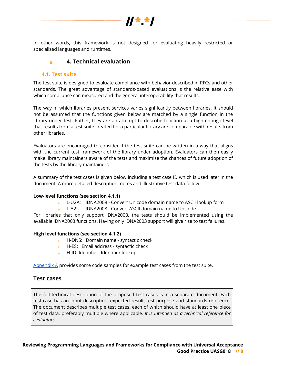

In other words, this framework is not designed for evaluating heavily restricted or specialized languages and runtimes.

#### **4. Technical evaluation**  $\mathbf{r}$

### **4.1. Test suite**

The test suite is designed to evaluate compliance with behavior described in RFCs and other standards. The great advantage of standards-based evaluations is the relative ease with which compliance can measured and the general interoperability that results.

The way in which libraries present services varies significantly between libraries. It should not be assumed that the functions given below are matched by a single function in the library under test. Rather, they are an attempt to describe function at a high enough level that results from a test suite created for a particular library are comparable with results from other libraries.

Evaluators are encouraged to consider if the test suite can be written in a way that aligns with the current test framework of the library under adoption. Evaluators can then easily make library maintainers aware of the tests and maximise the chances of future adoption of the tests by the library maintainers.

A summary of the test cases is given below including a test case ID which is used later in the document. A more detailed description, notes and illustrative test data follow.

#### **Low-level functions (see section 4.1.1)**

- L-U2A: IDNA2008 Convert Unicode domain name to ASCII lookup form
- L-A2U: IDNA2008 Convert ASCII domain name to Unicode

For libraries that only support IDNA2003, the tests should be implemented using the available IDNA2003 functions. Having only IDNA2003 support will give rise to test failures.

#### **High level functions (see section 4.1.2)**

- ► H-DNS: Domain name syntactic check
- $\blacktriangleright$  H-ES: Email address syntactic check
- **H-ID: Identifier- Identifier lookup**

Appendix A provides some code samples for example test cases from the test suite.

## **Test cases**

The full technical description of the proposed test cases is in a separate document**.** Each test case has an input description, expected result, test purpose and standards reference. The document describes multiple test cases, each of which should have at least one piece of test data, preferably multiple where applicable. *It is intended as a technical reference for evaluators.*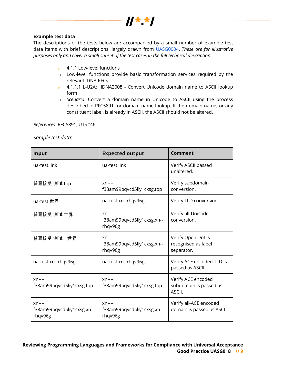

#### **Example test data**

The descriptions of the tests below are accompanied by a small number of example test data items with brief descriptions, largely drawn from UASG0004. *These are for illustrative purposes only and cover a small subset of the test cases in the full technical description.* 

- 4.1.1 Low-level functions **College**
- o Low-level functions provide basic transformation services required by the relevant IDNA RFCs.
- 4.1.1.1 L-U2A: IDNA2008 Convert Unicode domain name to ASCII lookup form
- o *Scenario*: Convert a domain name in Unicode to ASCII using the process described in RFC5891 for domain name lookup. If the domain name, or any constituent label, is already in ASCII, the ASCII should not be altered.

*References*: RFC5891, UTS#46

*Sample test data*:

| Input                                            | <b>Expected output</b>                           | Comment                                                 |
|--------------------------------------------------|--------------------------------------------------|---------------------------------------------------------|
| ua-test.link                                     | ua-test.link                                     | Verify ASCII passed<br>unaltered.                       |
| 普遍接受-测试.top                                      | $xn---$<br>f38am99bqvcd5liy1cxsg.top             | Verify subdomain<br>conversion.                         |
| ua-test.世界                                       | ua-test.xn--rhqv96g                              | Verify TLD conversion.                                  |
| 普遍接受-测试.世界                                       | $xn---$<br>f38am99bqvcd5liy1cxsg.xn--<br>rhqv96g | Verify all-Unicode<br>conversion.                       |
| 普遍接受-测试。世界                                       | $xn---$<br>f38am99bqvcd5liy1cxsg.xn--<br>rhqv96g | Verify Open Dot is<br>recognised as label<br>separator. |
| ua-test.xn--rhqv96g                              | ua-test.xn--rhqv96g                              | Verify ACE encoded TLD is<br>passed as ASCII.           |
| $xn---$<br>f38am99bqvcd5liy1cxsg.top             | $xn---$<br>f38am99bqvcd5liy1cxsg.top             | Verify ACE encoded<br>subdomain is passed as<br>ASCII.  |
| $xn---$<br>f38am99bqvcd5liy1cxsg.xn--<br>rhqv96g | $xn---$<br>f38am99bqvcd5liy1cxsg.xn--<br>rhqv96g | Verify all-ACE encoded<br>domain is passed as ASCII.    |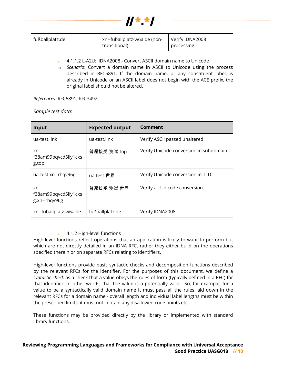

| fußballplatz.de | xn--fuballplatz-w6a.de (non- | Verify IDNA2008 |
|-----------------|------------------------------|-----------------|
|                 | transitional)                | processing.     |

- 4.1.1.2 L-A2U: IDNA2008 Convert ASCII domain name to Unicode
- o *Scenario*: Convert a domain name in ASCII to Unicode using the process described in RFC5891. If the domain name, or any constituent label, is already in Unicode or an ASCII label does not begin with the ACE prefix, the original label should not be altered.

*References*: RFC5891, RFC3492

*Sample test data*:

| <b>Input</b>                                     | <b>Expected output</b> | <b>Comment</b>                          |
|--------------------------------------------------|------------------------|-----------------------------------------|
| ua-test.link                                     | ua-test.link           | Verify ASCII passed unaltered.          |
| $xn---$<br>f38am99bqvcd5liy1cxs<br>g.top         | 普遍接受-测试.top            | Verify Unicode conversion in subdomain. |
| ua-test.xn--rhqv96g                              | ua-test.世界             | Verify Unicode conversion in TLD.       |
| $xn---$<br>f38am99bqvcd5liy1cxs<br>g.xn--rhqv96g | 普遍接受-测试.世界             | Verify all-Unicode conversion.          |
| xn--fuballplatz-w6a.de                           | fußballplatz.de        | Verify IDNA2008.                        |

#### 4.1.2 High-level functions

High-level functions reflect operations that an application is likely to want to perform but which are not directly detailed in an IDNA RFC, rather they either build on the operations specified therein or on separate RFCs relating to identifiers.

High-level functions provide basic syntactic checks and decomposition functions described by the relevant RFCs for the identifier. For the purposes of this document, we define a *syntactic check* as a check that a value obeys the rules of form (typically defined in a RFC) for that identifier. In other words, that the value is a potentially valid. So, for example, for a value to be a syntactically valid domain name it must pass all the rules laid down in the relevant RFCs for a domain name - overall length and individual label lengths must be within the prescribed limits, it must not contain any disallowed code points etc.

These functions may be provided directly by the library or implemented with standard library functions.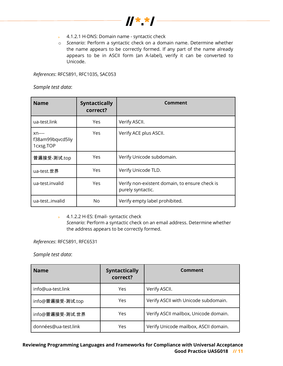

- ▶ 4.1.2.1 H-DNS: Domain name syntactic check
- o *Scenario*: Perform a syntactic check on a domain name. Determine whether the name appears to be correctly formed. If any part of the name already appears to be in ASCII form (an A-label), verify it can be converted to Unicode.

*References*: RFC5891, RFC1035, SAC053

*Sample test data*:

| <b>Name</b>                              | <b>Syntactically</b><br>correct? | Comment                                                             |
|------------------------------------------|----------------------------------|---------------------------------------------------------------------|
| ua-test.link                             | Yes                              | Verify ASCII.                                                       |
| $xn---$<br>f38am99bqvcd5liy<br>1cxsg.TOP | Yes                              | Verify ACE plus ASCII.                                              |
| 普遍接受-测试.top                              | Yes                              | Verify Unicode subdomain.                                           |
| ua-test.世界                               | Yes                              | Verify Unicode TLD.                                                 |
| ua-test.invalid                          | Yes.                             | Verify non-existent domain, to ensure check is<br>purely syntactic. |
| ua-testinvalid                           | No                               | Verify empty label prohibited.                                      |

▶ 4.1.2.2 H-ES: Email- syntactic check

*Scenario*: Perform a syntactic check on an email address. Determine whether the address appears to be correctly formed.

*References*: RFC5891, RFC6531

*Sample test data*:

| <b>Name</b>          | <b>Syntactically</b><br>correct? | Comment                               |
|----------------------|----------------------------------|---------------------------------------|
| info@ua-test.link    | Yes                              | Verify ASCII.                         |
| info@普遍接受-测试.top     | Yes                              | Verify ASCII with Unicode subdomain.  |
| info@普遍接受-测试.世界      | Yes                              | Verify ASCII mailbox, Unicode domain. |
| données@ua-test.link | Yes                              | Verify Unicode mailbox, ASCII domain. |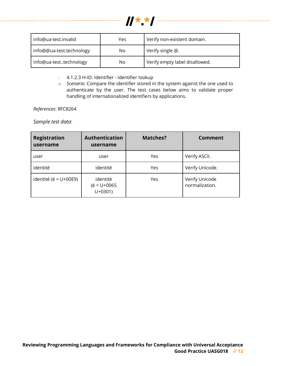

| info@ua-test.invalid     | Yes | Verify non-existent domain.    |
|--------------------------|-----|--------------------------------|
| info@@ua-test.technology | No  | Verify single @.               |
| info@ua-testtechnology   | No  | Verify empty label disallowed. |

- ▶ 4.1.2.3 H-ID: Identifier Identifier lookup
- o *Scenario*: Compare the identifier stored in the system against the one used to authenticate by the user. The test cases below aims to validate proper handling of internationalized identifiers by applications.

*References*: RFC8264

*Sample test data*:

| <b>Registration</b><br>username | <b>Authentication</b><br>username         | Matches? | Comment                          |
|---------------------------------|-------------------------------------------|----------|----------------------------------|
| user                            | user                                      | Yes      | Verify ASCII.                    |
| identité                        | identité                                  | Yes      | Verify Unicode.                  |
| identité (é = $U+00E9$ )        | identité<br>$(e = U + 0065$<br>$U + 0301$ | Yes      | Verify Unicode<br>normalization. |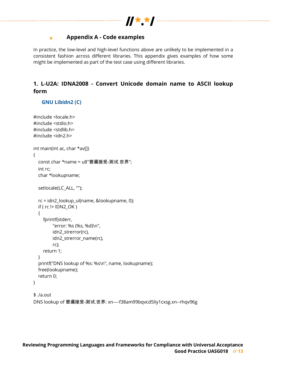

#### **Appendix A - Code examples** k.

In practice, the low-level and high-level functions above are unlikely to be implemented in a consistent fashion across different libraries. This appendix gives examples of how some might be implemented as part of the test case using different libraries.

# **1. L-U2A: IDNA2008 - Convert Unicode domain name to ASCII lookup form**

### **GNU Libidn2 (C)**

```
#include <locale.h>
#include <stdio.h>
#include <stdlib.h>
#include <idn2.h>
int main(int ac, char *av[])
{
   const char *name = u8"普遍接受-测试.世界";
   int rc;
   char *lookupname;
   setlocale(LC_ALL, "");
   rc = idn2_lookup_ul(name, &lookupname, 0);
  if ( rc != IDN2_OK ) {
     fprintf(stderr,
          "error: %s (%s, %d)\n",
         idn2 strerror(rc),
          idn2_strerror_name(rc),
          rc);
     return 1;
   }
   printf("DNS lookup of %s: %s\n", name, lookupname);
   free(lookupname);
   return 0;
}
$ ./a.out
```
DNS lookup of 普遍接受-测试.世界: xn----f38am99bqvcd5liy1cxsg.xn--rhqv96g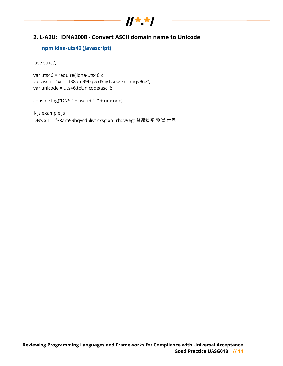# $\frac{1}{x}$

# **2. L-A2U: IDNA2008 - Convert ASCII domain name to Unicode**

### **npm idna-uts46 (Javascript)**

'use strict';

var uts46 = require('idna-uts46'); var ascii = "xn----f38am99bqvcd5liy1cxsg.xn--rhqv96g"; var unicode = uts46.toUnicode(ascii);

console.log("DNS " + ascii + ": " + unicode);

\$ js example.js DNS xn----f38am99bqvcd5liy1cxsg.xn--rhqv96g: 普遍接受-测试.世界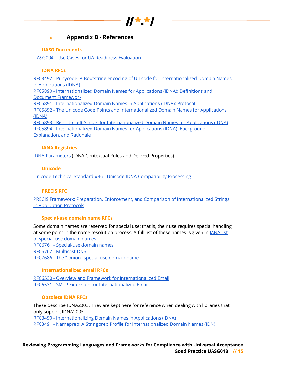

#### **Appendix B - References**  $\blacksquare$

### **UASG Documents**

UASG004 - Use Cases for UA Readiness Evaluation

#### **IDNA RFCs**

RFC3492 - Punycode: A Bootstring encoding of Unicode for Internationalized Domain Names in Applications (IDNA) RFC5890 - Internationalized Domain Names for Applications (IDNA): Definitions and Document Framework RFC5891 - Internationalized Domain Names in Applications (IDNA): Protocol RFC5892 - The Unicode Code Points and Internationalized Domain Names for Applications (IDNA) RFC5893 - Right-to-Left Scripts for Internationalized Domain Names for Applications (IDNA) RFC5894 - Internationalized Domain Names for Applications (IDNA): Background, Explanation, and Rationale

### **IANA Registries**

IDNA Parameters (IDNA Contextual Rules and Derived Properties)

### **Unicode**

Unicode Technical Standard #46 - Unicode IDNA Compatibility Processing

#### **PRECIS RFC**

PRECIS Framework: Preparation, Enforcement, and Comparison of Internationalized Strings in Application Protocols

#### **Special-use domain name RFCs**

Some domain names are reserved for special use; that is, their use requires special handling at some point in the name resolution process. A full list of these names is given in *IANA* list of special-use domain names. RFC6761 - Special-use domain names RFC6762 - Multicast DNS RFC7686 - The ".onion" special-use domain name

#### **Internationalized email RFCs**

RFC6530 - Overview and Framework for Internationalized Email RFC6531 - SMTP Extension for Internationalized Email

### **Obsolete IDNA RFCs**

These describe IDNA2003. They are kept here for reference when dealing with libraries that only support IDNA2003. RFC3490 - Internationalizing Domain Names in Applications (IDNA) RFC3491 - Nameprep: A Stringprep Profile for Internationalized Domain Names (IDN)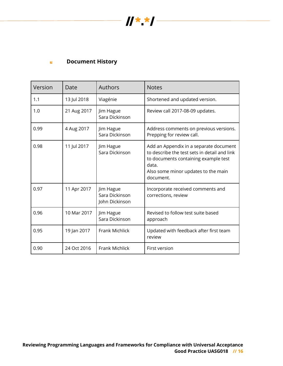

#### **Document History**  $\mathbf{N}$

| Version | Date        | Authors                                       | <b>Notes</b>                                                                                                                                                                                |
|---------|-------------|-----------------------------------------------|---------------------------------------------------------------------------------------------------------------------------------------------------------------------------------------------|
| 1.1     | 13 Jul 2018 | Viagénie                                      | Shortened and updated version.                                                                                                                                                              |
| 1.0     | 21 Aug 2017 | Jim Hague<br>Sara Dickinson                   | Review call 2017-08-09 updates.                                                                                                                                                             |
| 0.99    | 4 Aug 2017  | Jim Hague<br>Sara Dickinson                   | Address comments on previous versions.<br>Prepping for review call.                                                                                                                         |
| 0.98    | 11 Jul 2017 | Jim Hague<br>Sara Dickinson                   | Add an Appendix in a separate document<br>to describe the test sets in detail and link<br>to documents containing example test<br>data.<br>Also some minor updates to the main<br>document. |
| 0.97    | 11 Apr 2017 | Jim Hague<br>Sara Dickinson<br>John Dickinson | Incorporate received comments and<br>corrections, review                                                                                                                                    |
| 0.96    | 10 Mar 2017 | Jim Hague<br>Sara Dickinson                   | Revised to follow test suite based<br>approach                                                                                                                                              |
| 0.95    | 19 Jan 2017 | <b>Frank Michlick</b>                         | Updated with feedback after first team<br>review                                                                                                                                            |
| 0.90    | 24 Oct 2016 | <b>Frank Michlick</b>                         | First version                                                                                                                                                                               |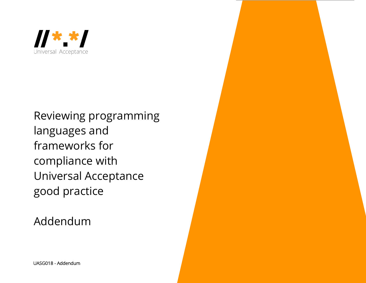

Reviewing programming languages and frameworks for compliance with Universal Acceptance good practice

Addendum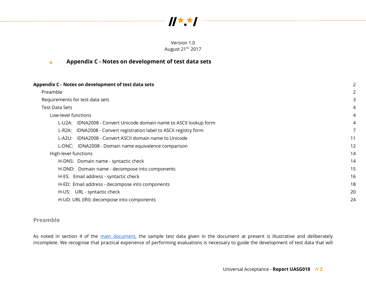

Version 1.0 August 21<sup>st,</sup> 2017

|  | Appendix C - Notes on development of test data sets |  |  |
|--|-----------------------------------------------------|--|--|
|--|-----------------------------------------------------|--|--|

| Appendix C - Notes on development of test data sets                 |    |
|---------------------------------------------------------------------|----|
| Preamble                                                            |    |
| Requirements for test data sets                                     |    |
| <b>Test Data Sets</b>                                               | 4  |
| Low-level functions                                                 | 4  |
| L-U2A: IDNA2008 - Convert Unicode domain name to ASCII lookup form  |    |
| L-R2A: IDNA2008 - Convert registration label to ASCII registry form |    |
| L-A2U: IDNA2008 - Convert ASCII domain name to Unicode              | 11 |
| L-DNC: IDNA2008 - Domain name equivalence comparison                | 12 |
| High-level functions                                                | 14 |
| H-DNS: Domain name - syntactic check                                | 14 |
| H-DND: Domain name - decompose into components                      | 15 |
| H-ES: Email address - syntactic check                               | 16 |
| H-ED: Email address - decompose into components                     | 18 |
| H-US: URL - syntactic check                                         | 20 |
| H-UD: URL (IRI): decompose into components                          | 24 |

### **Preamble**

As noted in section 4 of the main document, the sample test data given in the document at present is illustrative and deliberately incomplete. We recognise that practical experience of performing evaluations is necessary to guide the development of test data that will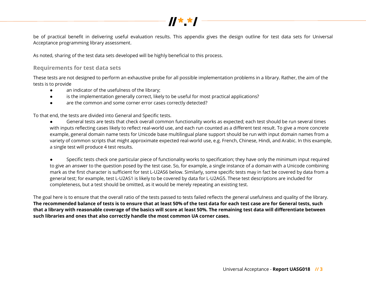

be of practical benefit in delivering useful evaluation results. This appendix gives the design outline for test data sets for Universal Acceptance programming library assessment.

As noted, sharing of the test data sets developed will be highly beneficial to this process.

### **Requirements for test data sets**

These tests are not designed to perform an exhaustive probe for all possible implementation problems in a library. Rather, the aim of the tests is to provide

- an indicator of the usefulness of the library;
- is the implementation generally correct, likely to be useful for most practical applications?
- are the common and some corner error cases correctly detected?

To that end, the tests are divided into General and Specific tests.

● General tests are tests that check overall common functionality works as expected; each test should be run several times with inputs reflecting cases likely to reflect real-world use, and each run counted as a different test result. To give a more concrete example, general domain name tests for Unicode base multilingual plane support should be run with input domain names from a variety of common scripts that might approximate expected real-world use, e.g. French, Chinese, Hindi, and Arabic. In this example, a single test will produce 4 test results.

Specific tests check one particular piece of functionality works to specification; they have only the minimum input required to give an answer to the question posed by the test case. So, for example, a single instance of a domain with a Unicode combining mark as the first character is sufficient for test L-U2AS6 below. Similarly, some specific tests may in fact be covered by data from a general test; for example, test L-U2AS1 is likely to be covered by data for L-U2AG5. These test descriptions are included for completeness, but a test should be omitted, as it would be merely repeating an existing test.

The goal here is to ensure that the overall ratio of the tests passed to tests failed reflects the general usefulness and quality of the library. **The recommended balance of tests is to ensure that at least 50% of the test data for each test case are for General tests, such that a library with reasonable coverage of the basics will score at least 50%. The remaining test data will differentiate between such libraries and ones that also correctly handle the most common UA corner cases.**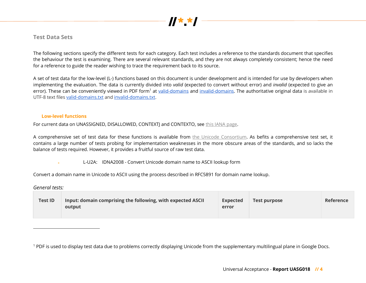

### **Test Data Sets**

The following sections specify the different tests for each category. Each test includes a reference to the standards document that specifies the behaviour the test is examining. There are several relevant standards, and they are not always completely consistent; hence the need for a reference to guide the reader wishing to trace the requirement back to its source.

A set of test data for the low-level (L-) functions based on this document is under development and is intended for use by developers when implementing the evaluation. The data is currently divided into *valid* (expected to convert without error) and *invalid* (expected to give an error). These can be conveniently viewed in PDF form<sup>1</sup> at valid-domains and invalid-domains. The authoritative original data is available in UTF-8 text files valid-domains.txt and invalid-domains.txt.

#### **Low-level functions**

For current data on UNASSIGNED, DISALLOWED, CONTEXTJ and CONTEXTO, see this IANA page.

A comprehensive set of test data for these functions is available from the Unicode Consortium. As befits a comprehensive test set, it contains a large number of tests probing for implementation weaknesses in the more obscure areas of the standards, and so lacks the balance of tests required. However, it provides a fruitful source of raw test data.

L-U2A: IDNA2008 - Convert Unicode domain name to ASCII lookup form

Convert a domain name in Unicode to ASCII using the process described in RFC5891 for domain name lookup.

*General tests:*

1

| Input: domain comprising the following, with expected ASCII<br><b>Test ID</b><br>output | <b>Expected</b><br>error | <b>Test purpose</b> | <b>Reference</b> |
|-----------------------------------------------------------------------------------------|--------------------------|---------------------|------------------|
|-----------------------------------------------------------------------------------------|--------------------------|---------------------|------------------|

<sup>&</sup>lt;sup>1</sup> PDF is used to display test data due to problems correctly displaying Unicode from the supplementary multilingual plane in Google Docs.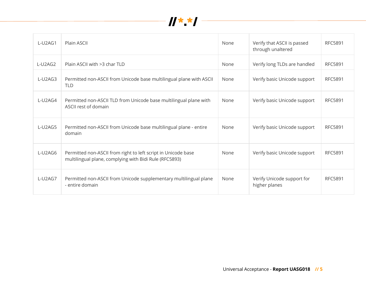

| L-U2AG1 | Plain ASCII                                                                                                             | None | Verify that ASCII is passed<br>through unaltered | <b>RFC5891</b> |
|---------|-------------------------------------------------------------------------------------------------------------------------|------|--------------------------------------------------|----------------|
| L-U2AG2 | Plain ASCII with >3 char TLD                                                                                            | None | Verify long TLDs are handled                     | <b>RFC5891</b> |
| L-U2AG3 | Permitted non-ASCII from Unicode base multilingual plane with ASCII<br><b>TLD</b>                                       | None | Verify basic Unicode support                     | <b>RFC5891</b> |
| L-U2AG4 | Permitted non-ASCII TLD from Unicode base multilingual plane with<br>ASCII rest of domain                               | None | Verify basic Unicode support                     | <b>RFC5891</b> |
| L-U2AG5 | Permitted non-ASCII from Unicode base multilingual plane - entire<br>domain                                             | None | Verify basic Unicode support                     | <b>RFC5891</b> |
| L-U2AG6 | Permitted non-ASCII from right to left script in Unicode base<br>multilingual plane, complying with Bidi Rule (RFC5893) | None | Verify basic Unicode support                     | <b>RFC5891</b> |
| L-U2AG7 | Permitted non-ASCII from Unicode supplementary multilingual plane<br>- entire domain                                    | None | Verify Unicode support for<br>higher planes      | <b>RFC5891</b> |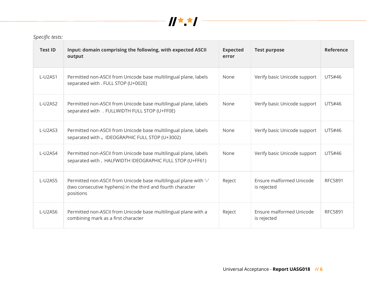

| <b>Test ID</b>          | Input: domain comprising the following, with expected ASCII<br>output                                                                         | <b>Expected</b><br>error | <b>Test purpose</b>                     | <b>Reference</b> |
|-------------------------|-----------------------------------------------------------------------------------------------------------------------------------------------|--------------------------|-----------------------------------------|------------------|
| L-U2AS1                 | Permitted non-ASCII from Unicode base multilingual plane, labels<br>None<br>separated with . FULL STOP (U+002E)                               |                          | Verify basic Unicode support            | <b>UTS#46</b>    |
| L-U2AS2                 | Permitted non-ASCII from Unicode base multilingual plane, labels<br>separated with . FULLWIDTH FULL STOP (U+FF0E)                             | None                     | Verify basic Unicode support            | <b>UTS#46</b>    |
| $L-UDASS$               | Permitted non-ASCII from Unicode base multilingual plane, labels<br>separated with 。IDEOGRAPHIC FULL STOP (U+3002)                            | <b>None</b>              | Verify basic Unicode support            | <b>UTS#46</b>    |
| L-U2AS4                 | Permitted non-ASCII from Unicode base multilingual plane, labels<br>separated with . HALFWIDTH IDEOGRAPHIC FULL STOP (U+FF61)                 | None                     | Verify basic Unicode support            | <b>UTS#46</b>    |
| L-U2AS5                 | Permitted non-ASCII from Unicode base multilingual plane with '-'<br>(two consecutive hyphens) in the third and fourth character<br>positions | Reject                   | Ensure malformed Unicode<br>is rejected | <b>RFC5891</b>   |
| $L$ -U <sub>2</sub> AS6 | Permitted non-ASCII from Unicode base multilingual plane with a<br>combining mark as a first character                                        | Reject                   | Ensure malformed Unicode<br>is rejected | <b>RFC5891</b>   |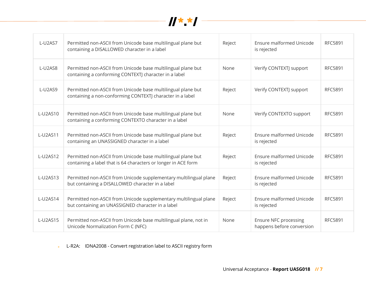

| L-U2AS7  | Permitted non-ASCII from Unicode base multilingual plane but<br>containing a DISALLOWED character in a label                        | Reject | Ensure malformed Unicode<br>is rejected                   | <b>RFC5891</b> |
|----------|-------------------------------------------------------------------------------------------------------------------------------------|--------|-----------------------------------------------------------|----------------|
| L-U2AS8  | Permitted non-ASCII from Unicode base multilingual plane but<br>None<br>containing a conforming CONTEXTJ character in a label       |        | Verify CONTEXTJ support                                   | <b>RFC5891</b> |
| L-U2AS9  | Permitted non-ASCII from Unicode base multilingual plane but<br>Reject<br>containing a non-conforming CONTEXTJ character in a label |        | Verify CONTEXTJ support                                   | <b>RFC5891</b> |
| L-U2AS10 | Permitted non-ASCII from Unicode base multilingual plane but<br>containing a conforming CONTEXTO character in a label               | None   | Verify CONTEXTO support                                   | <b>RFC5891</b> |
| L-U2AS11 | Permitted non-ASCII from Unicode base multilingual plane but<br>containing an UNASSIGNED character in a label                       |        | Ensure malformed Unicode<br>is rejected                   | <b>RFC5891</b> |
| L-U2AS12 | Permitted non-ASCII from Unicode base multilingual plane but<br>containing a label that is 64 characters or longer in ACE form      |        | Ensure malformed Unicode<br>is rejected                   | <b>RFC5891</b> |
| L-U2AS13 | Permitted non-ASCII from Unicode supplementary multilingual plane<br>but containing a DISALLOWED character in a label               | Reject | Ensure malformed Unicode<br>is rejected                   | <b>RFC5891</b> |
| L-U2AS14 | Permitted non-ASCII from Unicode supplementary multilingual plane<br>but containing an UNASSIGNED character in a label              | Reject | Ensure malformed Unicode<br>is rejected                   | RFC5891        |
| L-U2AS15 | Permitted non-ASCII from Unicode base multilingual plane, not in<br>Unicode Normalization Form C (NFC)                              | None   | <b>Ensure NFC processing</b><br>happens before conversion | <b>RFC5891</b> |

**L-R2A:** IDNA2008 - Convert registration label to ASCII registry form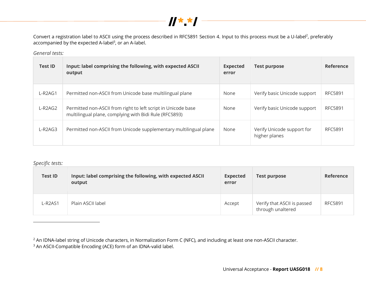

Convert a registration label to ASCII using the process described in RFC5891 Section 4. Input to this process must be a U-label<sup>2</sup>, preferably accompanied by the expected A-label<sup>3</sup>, or an A-label.

*General tests:*

| <b>Test ID</b> | Input: label comprising the following, with expected ASCII<br>output                                                    |      | <b>Test purpose</b>                         | Reference      |
|----------------|-------------------------------------------------------------------------------------------------------------------------|------|---------------------------------------------|----------------|
| $L-R2AG1$      | Permitted non-ASCII from Unicode base multilingual plane                                                                | None | Verify basic Unicode support                | <b>RFC5891</b> |
| $L-R2AG2$      | Permitted non-ASCII from right to left script in Unicode base<br>multilingual plane, complying with Bidi Rule (RFC5893) |      | Verify basic Unicode support                | <b>RFC5891</b> |
| $L-R2AG3$      | Permitted non-ASCII from Unicode supplementary multilingual plane                                                       | None | Verify Unicode support for<br>higher planes | <b>RFC5891</b> |

*Specific tests:*

-

| <b>Test ID</b>       | Input: label comprising the following, with expected ASCII<br>output | <b>Expected</b><br>error | <b>Test purpose</b>                              | <b>Reference</b> |
|----------------------|----------------------------------------------------------------------|--------------------------|--------------------------------------------------|------------------|
| L-R <sub>2</sub> AS1 | Plain ASCII label                                                    | Accept                   | Verify that ASCII is passed<br>through unaltered | <b>RFC5891</b>   |

<sup>2</sup> An IDNA-label string of Unicode characters, in Normalization Form C (NFC), and including at least one non-ASCII character.

<sup>3</sup> An ASCII-Compatible Encoding (ACE) form of an IDNA-valid label.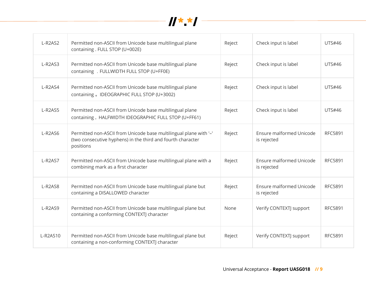

| L-R2AS2  | Permitted non-ASCII from Unicode base multilingual plane<br>containing. FULL STOP (U+002E)                                                    | Reject | Check input is label                    | <b>UTS#46</b>  |
|----------|-----------------------------------------------------------------------------------------------------------------------------------------------|--------|-----------------------------------------|----------------|
| L-R2AS3  | Permitted non-ASCII from Unicode base multilingual plane<br>Reject<br>containing . FULLWIDTH FULL STOP (U+FF0E)                               |        | Check input is label                    | <b>UTS#46</b>  |
| L-R2AS4  | Permitted non-ASCII from Unicode base multilingual plane<br>Reject<br>containing 。IDEOGRAPHIC FULL STOP (U+3002)                              |        | Check input is label                    | UTS#46         |
| L-R2AS5  | Permitted non-ASCII from Unicode base multilingual plane<br>containing. HALFWIDTH IDEOGRAPHIC FULL STOP (U+FF61)                              | Reject | Check input is label                    | <b>UTS#46</b>  |
| L-R2AS6  | Permitted non-ASCII from Unicode base multilingual plane with '-'<br>(two consecutive hyphens) in the third and fourth character<br>positions | Reject | Ensure malformed Unicode<br>is rejected | <b>RFC5891</b> |
| L-R2AS7  | Permitted non-ASCII from Unicode base multilingual plane with a<br>combining mark as a first character                                        | Reject | Ensure malformed Unicode<br>is rejected | <b>RFC5891</b> |
| L-R2AS8  | Permitted non-ASCII from Unicode base multilingual plane but<br>containing a DISALLOWED character                                             | Reject | Ensure malformed Unicode<br>is rejected | <b>RFC5891</b> |
| L-R2AS9  | Permitted non-ASCII from Unicode base multilingual plane but<br>containing a conforming CONTEXTJ character                                    | None   | Verify CONTEXTJ support                 | <b>RFC5891</b> |
| L-R2AS10 | Permitted non-ASCII from Unicode base multilingual plane but<br>containing a non-conforming CONTEXTJ character                                | Reject | Verify CONTEXTJ support                 | <b>RFC5891</b> |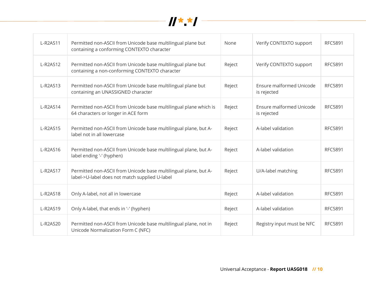

| L-R2AS11 | Permitted non-ASCII from Unicode base multilingual plane but<br>containing a conforming CONTEXTO character         | None   | Verify CONTEXTO support                 | <b>RFC5891</b> |
|----------|--------------------------------------------------------------------------------------------------------------------|--------|-----------------------------------------|----------------|
| L-R2AS12 | Permitted non-ASCII from Unicode base multilingual plane but<br>containing a non-conforming CONTEXTO character     | Reject | Verify CONTEXTO support                 | <b>RFC5891</b> |
| L-R2AS13 | Permitted non-ASCII from Unicode base multilingual plane but<br>Reject<br>containing an UNASSIGNED character       |        | Ensure malformed Unicode<br>is rejected | <b>RFC5891</b> |
| L-R2AS14 | Permitted non-ASCII from Unicode base multilingual plane which is<br>64 characters or longer in ACE form           | Reject | Ensure malformed Unicode<br>is rejected | <b>RFC5891</b> |
| L-R2AS15 | Permitted non-ASCII from Unicode base multilingual plane, but A-<br>label not in all lowercase                     | Reject | A-label validation                      | <b>RFC5891</b> |
| L-R2AS16 | Permitted non-ASCII from Unicode base multilingual plane, but A-<br>label ending '-' (hyphen)                      |        | A-label validation                      | <b>RFC5891</b> |
| L-R2AS17 | Permitted non-ASCII from Unicode base multilingual plane, but A-<br>label->U-label does not match supplied U-label | Reject | U/A-label matching                      | <b>RFC5891</b> |
| L-R2AS18 | Only A-label, not all in lowercase                                                                                 | Reject | A-label validation                      | <b>RFC5891</b> |
| L-R2AS19 | Only A-label, that ends in '-' (hyphen)                                                                            | Reject | A-label validation                      | <b>RFC5891</b> |
| L-R2AS20 | Permitted non-ASCII from Unicode base multilingual plane, not in<br>Unicode Normalization Form C (NFC)             | Reject | Registry input must be NFC              | <b>RFC5891</b> |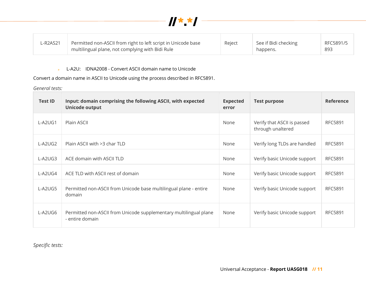

| ∟R2AS21 | Permitted non-ASCII from right to left script in Unicode base | Reject | See if Bidi checking | RFC5891/5 |
|---------|---------------------------------------------------------------|--------|----------------------|-----------|
|         | multilingual plane, not complying with Bidi Rule              |        | happens.             | 893       |

► L-A2U: IDNA2008 - Convert ASCII domain name to Unicode

Convert a domain name in ASCII to Unicode using the process described in RFC5891.

*General tests:*

| <b>Test ID</b> | Input: domain comprising the following ASCII, with expected<br><b>Unicode output</b> | <b>Expected</b><br>error | <b>Test purpose</b>                              | <b>Reference</b> |
|----------------|--------------------------------------------------------------------------------------|--------------------------|--------------------------------------------------|------------------|
| L-A2UG1        | Plain ASCII                                                                          | None                     | Verify that ASCII is passed<br>through unaltered | <b>RFC5891</b>   |
| L-A2UG2        | Plain ASCII with >3 char TLD                                                         | None                     | Verify long TLDs are handled                     | <b>RFC5891</b>   |
| L-A2UG3        | ACE domain with ASCII TLD                                                            | None                     | Verify basic Unicode support                     | <b>RFC5891</b>   |
| L-A2UG4        | ACE TLD with ASCII rest of domain                                                    | None                     | Verify basic Unicode support                     | <b>RFC5891</b>   |
| L-A2UG5        | Permitted non-ASCII from Unicode base multilingual plane - entire<br>domain          | None                     | Verify basic Unicode support                     | <b>RFC5891</b>   |
| L-A2UG6        | Permitted non-ASCII from Unicode supplementary multilingual plane<br>- entire domain | None                     | Verify basic Unicode support                     | <b>RFC5891</b>   |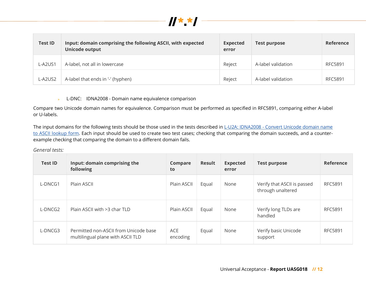

| <b>Test ID</b> | Input: domain comprising the following ASCII, with expected<br>Unicode output | <b>Expected</b><br>error | <b>Test purpose</b> | <b>Reference</b> |
|----------------|-------------------------------------------------------------------------------|--------------------------|---------------------|------------------|
| L-A2US1        | A-label, not all in lowercase                                                 | Reject                   | A-label validation  | <b>RFC5891</b>   |
| L-A2US2        | A-label that ends in '-' (hyphen)                                             | Reject                   | A-label validation  | <b>RFC5891</b>   |

L-DNC: IDNA2008 - Domain name equivalence comparison  $\mathbf{p}^{\prime}$ 

Compare two Unicode domain names for equivalence. Comparison must be performed as specified in RFC5891, comparing either A-label or U-labels.

The input domains for the following tests should be those used in the tests described in L-U2A: IDNA2008 - Convert Unicode domain name to ASCII lookup form. Each input should be used to create two test cases; checking that comparing the domain succeeds, and a counterexample checking that comparing the domain to a different domain fails.

*General tests:*

| <b>Test ID</b> | Input: domain comprising the<br>following                                  | Compare<br>to   | <b>Result</b> | <b>Expected</b><br>error | <b>Test purpose</b>                              | Reference      |
|----------------|----------------------------------------------------------------------------|-----------------|---------------|--------------------------|--------------------------------------------------|----------------|
| L-DNCG1        | Plain ASCII                                                                | Plain ASCII     | Equal         | None                     | Verify that ASCII is passed<br>through unaltered | <b>RFC5891</b> |
| L-DNCG2        | Plain ASCII with >3 char TLD                                               | Plain ASCII     | Equal         | None                     | Verify long TLDs are<br>handled                  | <b>RFC5891</b> |
| L-DNCG3        | Permitted non-ASCII from Unicode base<br>multilingual plane with ASCII TLD | ACE<br>encoding | Equal         | None                     | Verify basic Unicode<br>support                  | <b>RFC5891</b> |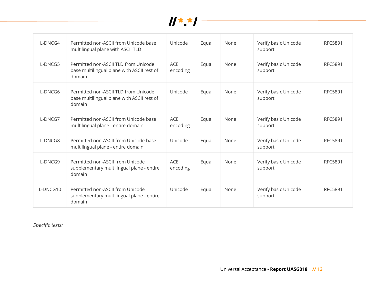

| L-DNCG4  | Permitted non-ASCII from Unicode base<br>multilingual plane with ASCII TLD                   | Unicode                | Equal | None | Verify basic Unicode<br>support | <b>RFC5891</b> |
|----------|----------------------------------------------------------------------------------------------|------------------------|-------|------|---------------------------------|----------------|
| L-DNCG5  | Permitted non-ASCII TLD from Unicode<br>base multilingual plane with ASCII rest of<br>domain | <b>ACE</b><br>encoding | Equal | None | Verify basic Unicode<br>support | <b>RFC5891</b> |
| L-DNCG6  | Permitted non-ASCII TLD from Unicode<br>base multilingual plane with ASCII rest of<br>domain | Unicode                | Equal | None | Verify basic Unicode<br>support | <b>RFC5891</b> |
| L-DNCG7  | Permitted non-ASCII from Unicode base<br>multilingual plane - entire domain                  | <b>ACE</b><br>encoding | Equal | None | Verify basic Unicode<br>support | <b>RFC5891</b> |
| L-DNCG8  | Permitted non-ASCII from Unicode base<br>multilingual plane - entire domain                  | Unicode                | Equal | None | Verify basic Unicode<br>support | <b>RFC5891</b> |
| L-DNCG9  | Permitted non-ASCII from Unicode<br>supplementary multilingual plane - entire<br>domain      | <b>ACE</b><br>encoding | Equal | None | Verify basic Unicode<br>support | <b>RFC5891</b> |
| L-DNCG10 | Permitted non-ASCII from Unicode<br>supplementary multilingual plane - entire<br>domain      | Unicode                | Equal | None | Verify basic Unicode<br>support | <b>RFC5891</b> |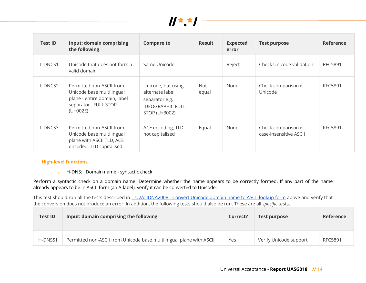

| <b>Test ID</b> | <b>Input: domain comprising</b><br>the following                                                                            | <b>Compare to</b>                                                                                     | <b>Result</b> | <b>Expected</b><br>error | <b>Test purpose</b>                           | <b>Reference</b> |
|----------------|-----------------------------------------------------------------------------------------------------------------------------|-------------------------------------------------------------------------------------------------------|---------------|--------------------------|-----------------------------------------------|------------------|
| L-DNCS1        | Unicode that does not form a<br>valid domain                                                                                | Same Unicode                                                                                          |               | Reject                   | Check Unicode validation                      | <b>RFC5891</b>   |
| L-DNCS2        | Permitted non-ASCII from<br>Unicode base multilingual<br>plane - entire domain, label<br>separator. FULL STOP<br>$(U+002E)$ | Unicode, but using<br>alternate label<br>separator e.g. .<br><b>IDEOGRAPHIC FULL</b><br>STOP (U+3002) | Not.<br>equal | None                     | Check comparison is<br>Unicode                | <b>RFC5891</b>   |
| L-DNCS3        | Permitted non-ASCII from<br>Unicode base multilingual<br>plane with ASCII TLD, ACE<br>encoded, TLD capitalised              | ACE encoding, TLD<br>not capitalised                                                                  | Equal         | None                     | Check comparison is<br>case-insensitive ASCII | <b>RFC5891</b>   |

#### **High-level functions**

► H-DNS: Domain name - syntactic check

Perform a syntactic check on a domain name. Determine whether the name appears to be correctly formed. If any part of the name already appears to be in ASCII form (an A-label), verify it can be converted to Unicode.

This test should run all the tests described in L-U2A: IDNA2008 - Convert Unicode domain name to ASCII lookup form above and verify that the conversion does not produce an error. In addition, the following tests should also be run. These are all *specific* tests.

| <b>Test ID</b> | Input: domain comprising the following                              | Correct? | Test purpose           | Reference |
|----------------|---------------------------------------------------------------------|----------|------------------------|-----------|
| H-DNSS1        | Permitted non-ASCII from Unicode base multilingual plane with ASCII | Yes      | Verify Unicode support | RFC5891   |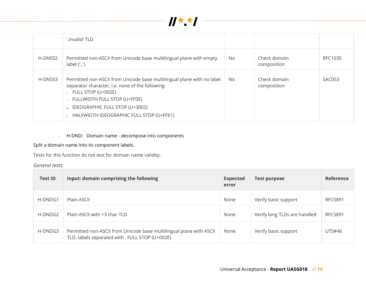

|         | '.invalid' TLD                                                                                                                                                                                                                                                 |     |                             |         |
|---------|----------------------------------------------------------------------------------------------------------------------------------------------------------------------------------------------------------------------------------------------------------------|-----|-----------------------------|---------|
| H-DNSS2 | Permitted non-ASCII from Unicode base multilingual plane with empty<br>label('')                                                                                                                                                                               | No  | Check domain<br>composition | RFC1035 |
| H-DNSS3 | Permitted non-ASCII from Unicode base multilingual plane with no label<br>separator character, i.e. none of the following:<br>FULL STOP (U+002E)<br>FULLWIDTH FULL STOP (U+FF0E)<br>IDEOGRAPHIC FULL STOP (U+3002)<br>HALFWIDTH IDEOGRAPHIC FULL STOP (U+FF61) | No. | Check domain<br>composition | SAC053  |

#### H-DND: Domain name - decompose into components  $\mathbf{p}^{(i)}$  .

### Split a domain name into its component labels.

Tests for this function do not test for domain name validity.

### *General tests:*

| <b>Test ID</b> | Input: domain comprising the following                                                                                 | <b>Expected</b><br>error | <b>Test purpose</b>          | Reference      |
|----------------|------------------------------------------------------------------------------------------------------------------------|--------------------------|------------------------------|----------------|
| H-DNDG1        | Plain ASCII                                                                                                            | None                     | Verify basic support         | RFC5891        |
| H-DNDG2        | Plain ASCII with >3 char TLD                                                                                           | None                     | Verify long TLDs are handled | <b>RFC5891</b> |
| H-DNDG3        | Permitted non-ASCII from Unicode base multilingual plane with ASCII<br>TLD, labels separated with . FULL STOP (U+002E) | None                     | Verify basic support         | UTS#46         |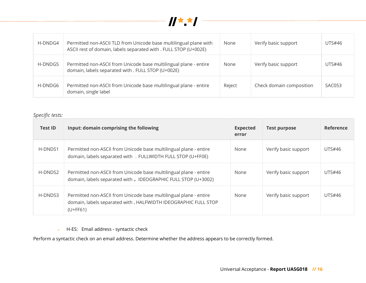

| H-DNDG4 | Permitted non-ASCII TLD from Unicode base multilingual plane with<br>ASCII rest of domain, labels separated with . FULL STOP (U+002E) | None   | Verify basic support     | UTS#46 |
|---------|---------------------------------------------------------------------------------------------------------------------------------------|--------|--------------------------|--------|
| H-DNDG5 | Permitted non-ASCII from Unicode base multilingual plane - entire<br>domain, labels separated with . FULL STOP (U+002E)               | None   | Verify basic support     | UTS#46 |
| H-DNDG6 | Permitted non-ASCII from Unicode base multilingual plane - entire<br>domain, single label                                             | Reject | Check domain composition | SAC053 |

### *Specific tests:*

| <b>Test ID</b> | Input: domain comprising the following                                                                                                             | <b>Expected</b><br>error | <b>Test purpose</b>  | Reference     |
|----------------|----------------------------------------------------------------------------------------------------------------------------------------------------|--------------------------|----------------------|---------------|
| H-DNDS1        | Permitted non-ASCII from Unicode base multilingual plane - entire<br>domain, labels separated with . FULLWIDTH FULL STOP (U+FF0E)                  | None                     | Verify basic support | UTS#46        |
| H-DNDS2        | Permitted non-ASCII from Unicode base multilingual plane - entire<br>domain, labels separated with . IDEOGRAPHIC FULL STOP (U+3002)                | None                     | Verify basic support | UTS#46        |
| H-DNDS3        | Permitted non-ASCII from Unicode base multilingual plane - entire<br>domain, labels separated with . HALFWIDTH IDEOGRAPHIC FULL STOP<br>$(U+FF61)$ | None                     | Verify basic support | <b>UTS#46</b> |

► H-ES: Email address - syntactic check

Perform a syntactic check on an email address. Determine whether the address appears to be correctly formed.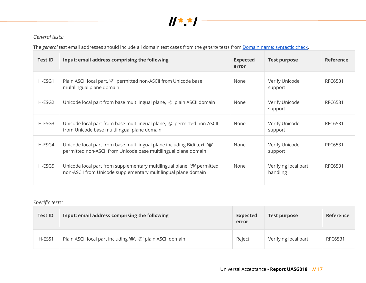

# *General tests:*

The *general* test email addresses should include all domain test cases from the *general* tests from Domain name: syntactic check.

| <b>Test ID</b> | Input: email address comprising the following                                                                                               | <b>Expected</b><br>error | <b>Test purpose</b>              | Reference |
|----------------|---------------------------------------------------------------------------------------------------------------------------------------------|--------------------------|----------------------------------|-----------|
| H-ESG1         | Plain ASCII local part, '@' permitted non-ASCII from Unicode base<br>multilingual plane domain                                              | None                     | Verify Unicode<br>support        | RFC6531   |
| H-ESG2         | Unicode local part from base multilingual plane, '@' plain ASCII domain                                                                     | None                     | Verify Unicode<br>support        | RFC6531   |
| H-ESG3         | Unicode local part from base multilingual plane, '@' permitted non-ASCII<br>from Unicode base multilingual plane domain                     | None                     | Verify Unicode<br>support        | RFC6531   |
| H-ESG4         | Unicode local part from base multilingual plane including Bidi text, '@'<br>permitted non-ASCII from Unicode base multilingual plane domain | None                     | Verify Unicode<br>support        | RFC6531   |
| H-ESG5         | Unicode local part from supplementary multilingual plane, '@' permitted<br>non-ASCII from Unicode supplementary multilingual plane domain   | None                     | Verifying local part<br>handling | RFC6531   |

| <b>Test ID</b> | Input: email address comprising the following                | <b>Expected</b><br>error | <b>Test purpose</b>  | <b>Reference</b> |
|----------------|--------------------------------------------------------------|--------------------------|----------------------|------------------|
| H-ESS1         | Plain ASCII local part including '@', '@' plain ASCII domain | Reject                   | Verifying local part | RFC6531          |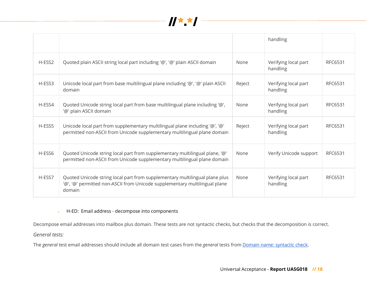

|        |                                                                                                                                                                     |        | handling                         |         |
|--------|---------------------------------------------------------------------------------------------------------------------------------------------------------------------|--------|----------------------------------|---------|
| H-ESS2 | Quoted plain ASCII string local part including '@', '@' plain ASCII domain                                                                                          | None   | Verifying local part<br>handling | RFC6531 |
| H-ESS3 | Unicode local part from base multilingual plane including '@', '@' plain ASCII<br>domain                                                                            | Reject | Verifying local part<br>handling | RFC6531 |
| H-ESS4 | Quoted Unicode string local part from base multilingual plane including '@',<br>'@' plain ASCII domain                                                              | None   | Verifying local part<br>handling | RFC6531 |
| H-ESS5 | Unicode local part from supplementary multilingual plane including '@', '@'<br>permitted non-ASCII from Unicode supplementary multilingual plane domain             | Reject | Verifying local part<br>handling | RFC6531 |
| H-ESS6 | Quoted Unicode string local part from supplementary multilingual plane, '@'<br>permitted non-ASCII from Unicode supplementary multilingual plane domain             | None   | Verify Unicode support           | RFC6531 |
| H-ESS7 | Quoted Unicode string local part from supplementary multilingual plane plus<br>'@', '@' permitted non-ASCII from Unicode supplementary multilingual plane<br>domain | None   | Verifying local part<br>handling | RFC6531 |

► H-ED: Email address - decompose into components

Decompose email addresses into mailbox plus domain. These tests are not syntactic checks, but checks that the decomposition is correct.

*General tests:*

The *general* test email addresses should include all domain test cases from the *general* tests from Domain name: syntactic check.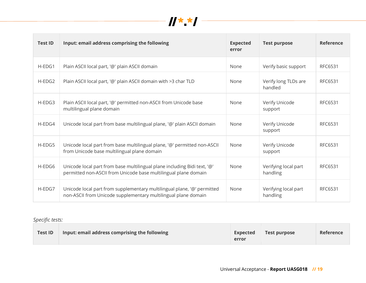

| <b>Test ID</b> | Input: email address comprising the following                                                                                               | <b>Expected</b><br>error | <b>Test purpose</b>              | <b>Reference</b> |
|----------------|---------------------------------------------------------------------------------------------------------------------------------------------|--------------------------|----------------------------------|------------------|
| H-EDG1         | Plain ASCII local part, '@' plain ASCII domain                                                                                              | None                     | Verify basic support             | RFC6531          |
| $H-EDG2$       | Plain ASCII local part, '@' plain ASCII domain with >3 char TLD                                                                             | None                     | Verify long TLDs are<br>handled  | RFC6531          |
| H-EDG3         | Plain ASCII local part, '@' permitted non-ASCII from Unicode base<br>multilingual plane domain                                              | None                     | Verify Unicode<br>support        | RFC6531          |
| H-EDG4         | Unicode local part from base multilingual plane, '@' plain ASCII domain                                                                     | None                     | Verify Unicode<br>support        | RFC6531          |
| H-EDG5         | Unicode local part from base multilingual plane, '@' permitted non-ASCII<br>from Unicode base multilingual plane domain                     | None                     | Verify Unicode<br>support        | RFC6531          |
| H-EDG6         | Unicode local part from base multilingual plane including Bidi text, '@'<br>permitted non-ASCII from Unicode base multilingual plane domain | None                     | Verifying local part<br>handling | RFC6531          |
| H-EDG7         | Unicode local part from supplementary multilingual plane, '@' permitted<br>non-ASCII from Unicode supplementary multilingual plane domain   | None                     | Verifying local part<br>handling | RFC6531          |

| <b>Test ID</b> | Input: email address comprising the following | <b>Expected</b><br>error | Test purpose | <b>Reference</b> |
|----------------|-----------------------------------------------|--------------------------|--------------|------------------|
|----------------|-----------------------------------------------|--------------------------|--------------|------------------|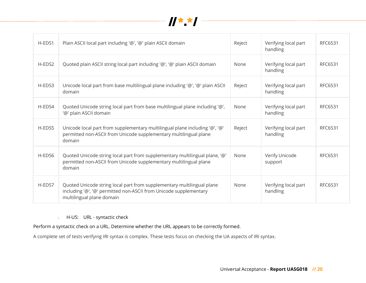

| H-EDS1 | Plain ASCII local part including '@', '@' plain ASCII domain                                                                                                             | Reject | Verifying local part<br>handling | RFC6531 |
|--------|--------------------------------------------------------------------------------------------------------------------------------------------------------------------------|--------|----------------------------------|---------|
| H-EDS2 | Quoted plain ASCII string local part including '@', '@' plain ASCII domain                                                                                               | None   | Verifying local part<br>handling | RFC6531 |
| H-EDS3 | Unicode local part from base multilingual plane including '@', '@' plain ASCII<br>domain                                                                                 | Reject | Verifying local part<br>handling | RFC6531 |
| H-EDS4 | Quoted Unicode string local part from base multilingual plane including '@',<br>'@' plain ASCII domain                                                                   | None   | Verifying local part<br>handling | RFC6531 |
| H-EDS5 | Unicode local part from supplementary multilingual plane including '@', '@'<br>permitted non-ASCII from Unicode supplementary multilingual plane<br>domain               | Reject | Verifying local part<br>handling | RFC6531 |
| H-EDS6 | Quoted Unicode string local part from supplementary multilingual plane, '@'<br>permitted non-ASCII from Unicode supplementary multilingual plane<br>domain               | None   | Verify Unicode<br>support        | RFC6531 |
| H-EDS7 | Quoted Unicode string local part from supplementary multilingual plane<br>including '@', '@' permitted non-ASCII from Unicode supplementary<br>multilingual plane domain | None   | Verifying local part<br>handling | RFC6531 |

#### H-US: URL - syntactic check  $\mathbf{p}^{(i)}$  .

Perform a syntactic check on a URL. Determine whether the URL appears to be correctly formed.

A complete set of tests verifying IRI syntax is complex. These tests focus on checking the UA aspects of IRI syntax.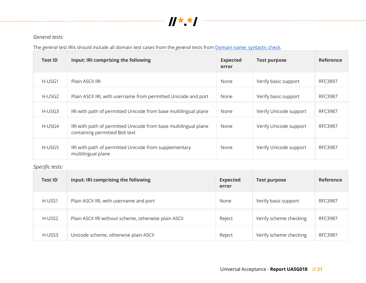

# *General tests:*

The *general* test IRIs should include all domain test cases from the *general* tests from Domain name: syntactic check.

| <b>Test ID</b> | Input: IRI comprising the following                                                               | <b>Expected</b><br>error | <b>Test purpose</b>    | Reference      |
|----------------|---------------------------------------------------------------------------------------------------|--------------------------|------------------------|----------------|
| H-USG1         | Plain ASCII IRI                                                                                   | None                     | Verify basic support   | RFC3897        |
| H-USG2         | Plain ASCII IRI, with username from permitted Unicode and port                                    | None                     | Verify basic support   | RFC3987        |
| H-USG3         | IRI with path of permitted Unicode from base multilingual plane                                   | None                     | Verify Unicode support | <b>RFC3987</b> |
| H-USG4         | IRI with path of permitted Unicode from base multilingual plane<br>containing permitted Bidi text | None                     | Verify Unicode support | RFC3987        |
| H-USG5         | IRI with path of permitted Unicode from supplementary<br>multilingual plane                       | None                     | Verify Unicode support | RFC3987        |

| <b>Test ID</b> | Input: IRI comprising the following                   | <b>Expected</b><br>error | <b>Test purpose</b>    | Reference      |
|----------------|-------------------------------------------------------|--------------------------|------------------------|----------------|
| H-USS1         | Plain ASCII IRI, with username and port               | None                     | Verify basic support   | <b>RFC3987</b> |
| H-USS2         | Plain ASCII IRI without scheme, otherwise plain ASCII | Reject                   | Verify scheme checking | <b>RFC3987</b> |
| H-USS3         | Unicode scheme, otherwise plain ASCII                 | Reject                   | Verify scheme checking | <b>RFC3987</b> |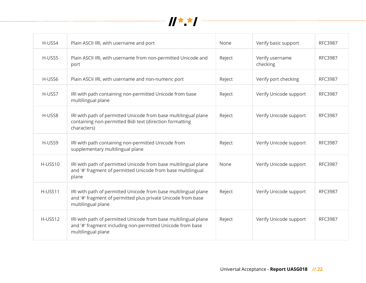

| H-USS4  | Plain ASCII IRI, with username and port                                                                                                               | None   | Verify basic support        | <b>RFC3987</b> |
|---------|-------------------------------------------------------------------------------------------------------------------------------------------------------|--------|-----------------------------|----------------|
| H-USS5  | Plain ASCII IRI, with username from non-permitted Unicode and<br>port                                                                                 | Reject | Verify username<br>checking | <b>RFC3987</b> |
| H-USS6  | Plain ASCII IRI, with username and non-numeric port                                                                                                   | Reject | Verify port checking        | <b>RFC3987</b> |
| H-USS7  | IRI with path containing non-permitted Unicode from base<br>multilingual plane                                                                        | Reject | Verify Unicode support      | <b>RFC3987</b> |
| H-USS8  | IRI with path of permitted Unicode from base multilingual plane<br>containing non-permitted Bidi text (direction formatting<br>characters)            | Reject | Verify Unicode support      | <b>RFC3987</b> |
| H-USS9  | IRI with path containing non-permitted Unicode from<br>supplementary multilingual plane                                                               | Reject | Verify Unicode support      | <b>RFC3987</b> |
| H-USS10 | IRI with path of permitted Unicode from base multilingual plane<br>and '#' fragment of permitted Unicode from base multilingual<br>plane              | None   | Verify Unicode support      | <b>RFC3987</b> |
| H-USS11 | IRI with path of permitted Unicode from base multilingual plane<br>and '#' fragment of permitted plus private Unicode from base<br>multilingual plane | Reject | Verify Unicode support      | <b>RFC3987</b> |
| H-USS12 | IRI with path of permitted Unicode from base multilingual plane<br>and '#' fragment including non-permitted Unicode from base<br>multilingual plane   | Reject | Verify Unicode support      | <b>RFC3987</b> |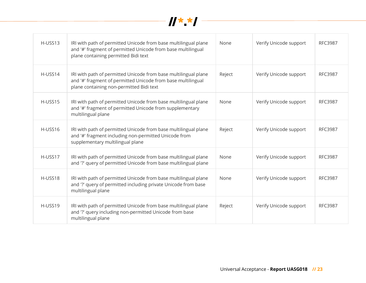

| H-USS13 | IRI with path of permitted Unicode from base multilingual plane<br>and '#' fragment of permitted Unicode from base multilingual<br>plane containing permitted Bidi text     | None   | Verify Unicode support | <b>RFC3987</b> |
|---------|-----------------------------------------------------------------------------------------------------------------------------------------------------------------------------|--------|------------------------|----------------|
| H-USS14 | IRI with path of permitted Unicode from base multilingual plane<br>and '#' fragment of permitted Unicode from base multilingual<br>plane containing non-permitted Bidi text | Reject | Verify Unicode support | <b>RFC3987</b> |
| H-USS15 | IRI with path of permitted Unicode from base multilingual plane<br>and '#' fragment of permitted Unicode from supplementary<br>multilingual plane                           | None   | Verify Unicode support | <b>RFC3987</b> |
| H-USS16 | IRI with path of permitted Unicode from base multilingual plane<br>and '#' fragment including non-permitted Unicode from<br>supplementary multilingual plane                | Reject | Verify Unicode support | <b>RFC3987</b> |
| H-USS17 | IRI with path of permitted Unicode from base multilingual plane<br>and '?' query of permitted Unicode from base multilingual plane                                          | None   | Verify Unicode support | <b>RFC3987</b> |
| H-USS18 | IRI with path of permitted Unicode from base multilingual plane<br>and '?' query of permitted including private Unicode from base<br>multilingual plane                     | None   | Verify Unicode support | <b>RFC3987</b> |
| H-USS19 | IRI with path of permitted Unicode from base multilingual plane<br>and '?' query including non-permitted Unicode from base<br>multilingual plane                            | Reject | Verify Unicode support | <b>RFC3987</b> |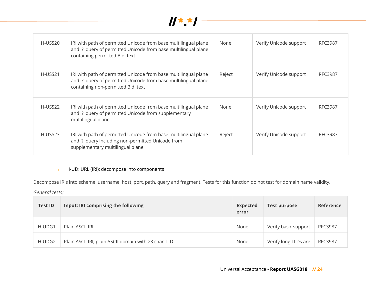

| H-USS20 | IRI with path of permitted Unicode from base multilingual plane<br>and '?' query of permitted Unicode from base multilingual plane<br>containing permitted Bidi text     | None   | Verify Unicode support | RFC3987        |
|---------|--------------------------------------------------------------------------------------------------------------------------------------------------------------------------|--------|------------------------|----------------|
| H-USS21 | IRI with path of permitted Unicode from base multilingual plane<br>and '?' query of permitted Unicode from base multilingual plane<br>containing non-permitted Bidi text | Reject | Verify Unicode support | <b>RFC3987</b> |
| H-USS22 | IRI with path of permitted Unicode from base multilingual plane<br>and '?' query of permitted Unicode from supplementary<br>multilingual plane                           | None   | Verify Unicode support | <b>RFC3987</b> |
| H-USS23 | IRI with path of permitted Unicode from base multilingual plane<br>and '?' query including non-permitted Unicode from<br>supplementary multilingual plane                | Reject | Verify Unicode support | <b>RFC3987</b> |

### ► H-UD: URL (IRI): decompose into components

Decompose IRIs into scheme, username, host, port, path, query and fragment. Tests for this function do not test for domain name validity.

### *General tests:*

| <b>Test ID</b> | Input: IRI comprising the following                  | <b>Expected</b><br>error | <b>Test purpose</b>  | Reference      |
|----------------|------------------------------------------------------|--------------------------|----------------------|----------------|
| H-UDG1         | Plain ASCII IRI                                      | None                     | Verify basic support | <b>RFC3987</b> |
| H-UDG2         | Plain ASCII IRI, plain ASCII domain with >3 char TLD | None                     | Verify long TLDs are | <b>RFC3987</b> |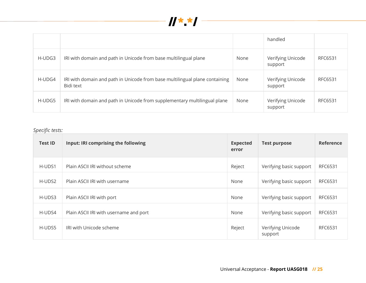

|        |                                                                                          |      | handled                      |         |
|--------|------------------------------------------------------------------------------------------|------|------------------------------|---------|
| H-UDG3 | IRI with domain and path in Unicode from base multilingual plane                         | None | Verifying Unicode<br>support | RFC6531 |
| H-UDG4 | IRI with domain and path in Unicode from base multilingual plane containing<br>Bidi text | None | Verifying Unicode<br>support | RFC6531 |
| H-UDG5 | IRI with domain and path in Unicode from supplementary multilingual plane                | None | Verifying Unicode<br>support | RFC6531 |

| <b>Test ID</b> | Input: IRI comprising the following    | <b>Expected</b><br>error | <b>Test purpose</b>          | Reference      |
|----------------|----------------------------------------|--------------------------|------------------------------|----------------|
| H-UDS1         | Plain ASCII IRI without scheme         | Reject                   | Verifying basic support      | <b>RFC6531</b> |
| H-UDS2         | Plain ASCII IRI with username          | None                     | Verifying basic support      | RFC6531        |
| H-UDS3         | Plain ASCII IRI with port              | None                     | Verifying basic support      | RFC6531        |
| H-UDS4         | Plain ASCII IRI with username and port | None                     | Verifying basic support      | RFC6531        |
| H-UDS5         | IRI with Unicode scheme                | Reject                   | Verifying Unicode<br>support | RFC6531        |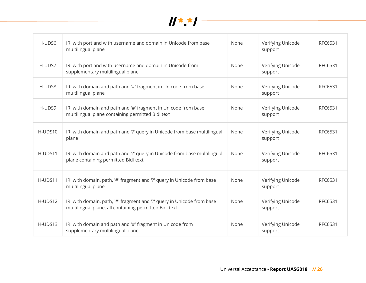

| H-UDS6  | IRI with port and with username and domain in Unicode from base<br>multilingual plane                                            | None | Verifying Unicode<br>support | RFC6531 |
|---------|----------------------------------------------------------------------------------------------------------------------------------|------|------------------------------|---------|
| H-UDS7  | IRI with port and with username and domain in Unicode from<br>supplementary multilingual plane                                   | None | Verifying Unicode<br>support | RFC6531 |
| H-UDS8  | IRI with domain and path and '#' fragment in Unicode from base<br>multilingual plane                                             | None | Verifying Unicode<br>support | RFC6531 |
| H-UDS9  | IRI with domain and path and '#' fragment in Unicode from base<br>multilingual plane containing permitted Bidi text              | None | Verifying Unicode<br>support | RFC6531 |
| H-UDS10 | IRI with domain and path and '?' query in Unicode from base multilingual<br>plane                                                | None | Verifying Unicode<br>support | RFC6531 |
| H-UDS11 | IRI with domain and path and '?' query in Unicode from base multilingual<br>plane containing permitted Bidi text                 | None | Verifying Unicode<br>support | RFC6531 |
| H-UDS11 | IRI with domain, path, '#' fragment and '?' query in Unicode from base<br>multilingual plane                                     | None | Verifying Unicode<br>support | RFC6531 |
| H-UDS12 | IRI with domain, path, '#' fragment and '?' query in Unicode from base<br>multilingual plane, all containing permitted Bidi text | None | Verifying Unicode<br>support | RFC6531 |
| H-UDS13 | IRI with domain and path and '#' fragment in Unicode from<br>supplementary multilingual plane                                    | None | Verifying Unicode<br>support | RFC6531 |